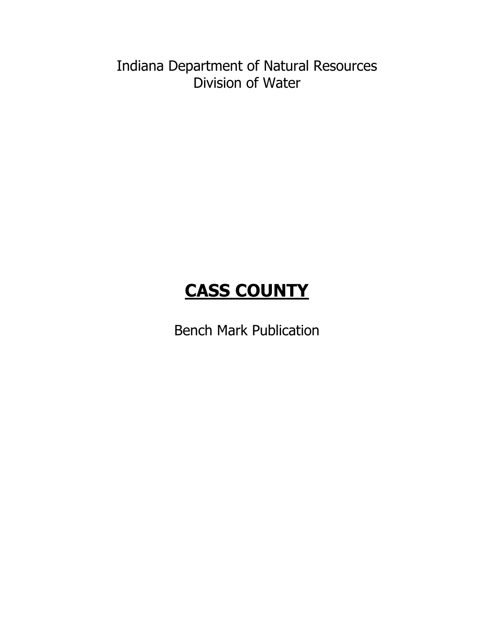Indiana Department of Natural Resources Division of Water

# **CASS COUNTY**

Bench Mark Publication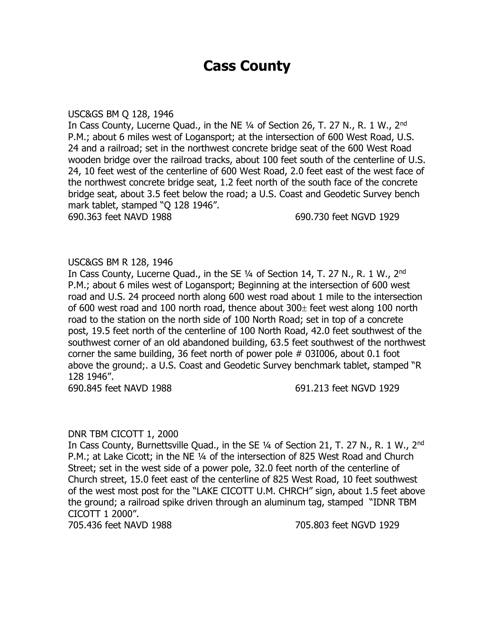# **Cass County**

#### USC&GS BM Q 128, 1946

In Cass County, Lucerne Quad., in the NE ¼ of Section 26, T. 27 N., R. 1 W., 2nd P.M.; about 6 miles west of Logansport; at the intersection of 600 West Road, U.S. 24 and a railroad; set in the northwest concrete bridge seat of the 600 West Road wooden bridge over the railroad tracks, about 100 feet south of the centerline of U.S. 24, 10 feet west of the centerline of 600 West Road, 2.0 feet east of the west face of the northwest concrete bridge seat, 1.2 feet north of the south face of the concrete bridge seat, about 3.5 feet below the road; a U.S. Coast and Geodetic Survey bench mark tablet, stamped "Q 128 1946".

690.363 feet NAVD 1988 690.730 feet NGVD 1929

# USC&GS BM R 128, 1946

In Cass County, Lucerne Quad., in the SE 1/4 of Section 14, T. 27 N., R. 1 W., 2<sup>nd</sup> P.M.; about 6 miles west of Logansport; Beginning at the intersection of 600 west road and U.S. 24 proceed north along 600 west road about 1 mile to the intersection of 600 west road and 100 north road, thence about  $300<sub>±</sub>$  feet west along 100 north road to the station on the north side of 100 North Road; set in top of a concrete post, 19.5 feet north of the centerline of 100 North Road, 42.0 feet southwest of the southwest corner of an old abandoned building, 63.5 feet southwest of the northwest corner the same building, 36 feet north of power pole # 03I006, about 0.1 foot above the ground;. a U.S. Coast and Geodetic Survey benchmark tablet, stamped "R 128 1946".

690.845 feet NAVD 1988 691.213 feet NGVD 1929

# DNR TBM CICOTT 1, 2000

In Cass County, Burnettsville Quad., in the SE 1/4 of Section 21, T. 27 N., R. 1 W., 2<sup>nd</sup> P.M.; at Lake Cicott; in the NE ¼ of the intersection of 825 West Road and Church Street; set in the west side of a power pole, 32.0 feet north of the centerline of Church street, 15.0 feet east of the centerline of 825 West Road, 10 feet southwest of the west most post for the "LAKE CICOTT U.M. CHRCH" sign, about 1.5 feet above the ground; a railroad spike driven through an aluminum tag, stamped "IDNR TBM CICOTT 1 2000".

705.436 feet NAVD 1988 705.803 feet NGVD 1929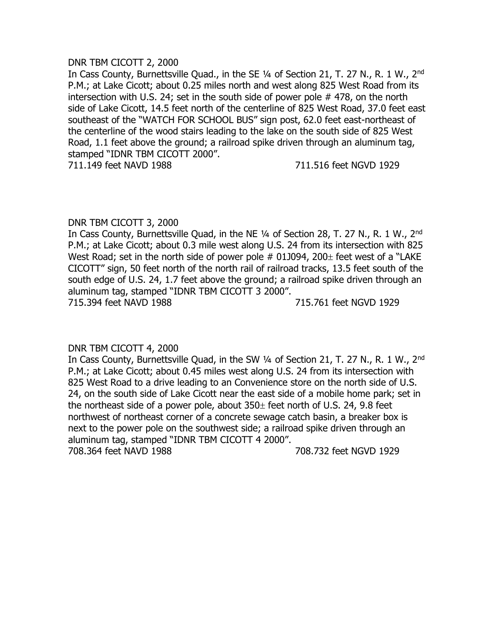#### DNR TBM CICOTT 2, 2000

In Cass County, Burnettsville Quad., in the SE 1/4 of Section 21, T. 27 N., R. 1 W., 2<sup>nd</sup> P.M.; at Lake Cicott; about 0.25 miles north and west along 825 West Road from its intersection with U.S. 24; set in the south side of power pole # 478, on the north side of Lake Cicott, 14.5 feet north of the centerline of 825 West Road, 37.0 feet east southeast of the "WATCH FOR SCHOOL BUS" sign post, 62.0 feet east-northeast of the centerline of the wood stairs leading to the lake on the south side of 825 West Road, 1.1 feet above the ground; a railroad spike driven through an aluminum tag, stamped "IDNR TBM CICOTT 2000".

711.149 feet NAVD 1988 711.516 feet NGVD 1929

# DNR TBM CICOTT 3, 2000

In Cass County, Burnettsville Quad, in the NE ¼ of Section 28, T. 27 N., R. 1 W., 2nd P.M.; at Lake Cicott; about 0.3 mile west along U.S. 24 from its intersection with 825 West Road; set in the north side of power pole  $#$  01J094, 200 $\pm$  feet west of a "LAKE CICOTT" sign, 50 feet north of the north rail of railroad tracks, 13.5 feet south of the south edge of U.S. 24, 1.7 feet above the ground; a railroad spike driven through an aluminum tag, stamped "IDNR TBM CICOTT 3 2000".

715.394 feet NAVD 1988 715.761 feet NGVD 1929

# DNR TBM CICOTT 4, 2000

In Cass County, Burnettsville Quad, in the SW 1/4 of Section 21, T. 27 N., R. 1 W., 2<sup>nd</sup> P.M.; at Lake Cicott; about 0.45 miles west along U.S. 24 from its intersection with 825 West Road to a drive leading to an Convenience store on the north side of U.S. 24, on the south side of Lake Cicott near the east side of a mobile home park; set in the northeast side of a power pole, about  $350<sub>±</sub>$  feet north of U.S. 24, 9.8 feet northwest of northeast corner of a concrete sewage catch basin, a breaker box is next to the power pole on the southwest side; a railroad spike driven through an aluminum tag, stamped "IDNR TBM CICOTT 4 2000". 708.364 feet NAVD 1988 708.732 feet NGVD 1929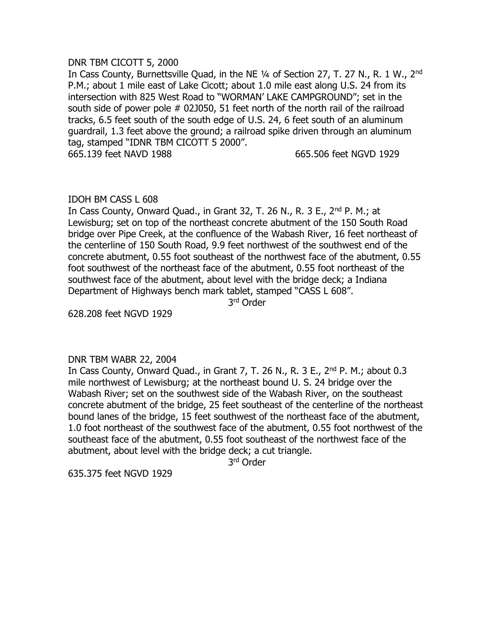#### DNR TBM CICOTT 5, 2000

In Cass County, Burnettsville Ouad, in the NE 1/4 of Section 27, T. 27 N., R. 1 W., 2<sup>nd</sup> P.M.; about 1 mile east of Lake Cicott; about 1.0 mile east along U.S. 24 from its intersection with 825 West Road to "WORMAN' LAKE CAMPGROUND"; set in the south side of power pole # 02J050, 51 feet north of the north rail of the railroad tracks, 6.5 feet south of the south edge of U.S. 24, 6 feet south of an aluminum guardrail, 1.3 feet above the ground; a railroad spike driven through an aluminum tag, stamped "IDNR TBM CICOTT 5 2000".

665.139 feet NAVD 1988 665.506 feet NGVD 1929

# IDOH BM CASS L 608

In Cass County, Onward Quad., in Grant 32, T. 26 N., R. 3 E., 2<sup>nd</sup> P. M.; at Lewisburg; set on top of the northeast concrete abutment of the 150 South Road bridge over Pipe Creek, at the confluence of the Wabash River, 16 feet northeast of the centerline of 150 South Road, 9.9 feet northwest of the southwest end of the concrete abutment, 0.55 foot southeast of the northwest face of the abutment, 0.55 foot southwest of the northeast face of the abutment, 0.55 foot northeast of the southwest face of the abutment, about level with the bridge deck; a Indiana Department of Highways bench mark tablet, stamped "CASS L 608".

3 rd Order

628.208 feet NGVD 1929

# DNR TBM WABR 22, 2004

In Cass County, Onward Quad., in Grant 7, T. 26 N., R. 3 E., 2<sup>nd</sup> P. M.; about 0.3 mile northwest of Lewisburg; at the northeast bound U. S. 24 bridge over the Wabash River; set on the southwest side of the Wabash River, on the southeast concrete abutment of the bridge, 25 feet southeast of the centerline of the northeast bound lanes of the bridge, 15 feet southwest of the northeast face of the abutment, 1.0 foot northeast of the southwest face of the abutment, 0.55 foot northwest of the southeast face of the abutment, 0.55 foot southeast of the northwest face of the abutment, about level with the bridge deck; a cut triangle.

3 rd Order

635.375 feet NGVD 1929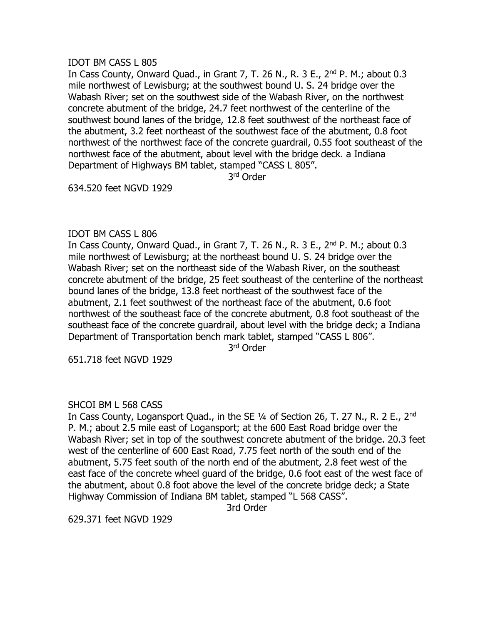### IDOT BM CASS L 805

In Cass County, Onward Quad., in Grant 7, T. 26 N., R. 3 E., 2nd P. M.; about 0.3 mile northwest of Lewisburg; at the southwest bound U. S. 24 bridge over the Wabash River; set on the southwest side of the Wabash River, on the northwest concrete abutment of the bridge, 24.7 feet northwest of the centerline of the southwest bound lanes of the bridge, 12.8 feet southwest of the northeast face of the abutment, 3.2 feet northeast of the southwest face of the abutment, 0.8 foot northwest of the northwest face of the concrete guardrail, 0.55 foot southeast of the northwest face of the abutment, about level with the bridge deck. a Indiana Department of Highways BM tablet, stamped "CASS L 805".

3 rd Order

634.520 feet NGVD 1929

#### IDOT BM CASS L 806

In Cass County, Onward Quad., in Grant 7, T. 26 N., R. 3 E., 2nd P. M.; about 0.3 mile northwest of Lewisburg; at the northeast bound U. S. 24 bridge over the Wabash River; set on the northeast side of the Wabash River, on the southeast concrete abutment of the bridge, 25 feet southeast of the centerline of the northeast bound lanes of the bridge, 13.8 feet northeast of the southwest face of the abutment, 2.1 feet southwest of the northeast face of the abutment, 0.6 foot northwest of the southeast face of the concrete abutment, 0.8 foot southeast of the southeast face of the concrete guardrail, about level with the bridge deck; a Indiana Department of Transportation bench mark tablet, stamped "CASS L 806".

3 rd Order

651.718 feet NGVD 1929

# SHCOI BM L 568 CASS

In Cass County, Logansport Quad., in the SE 1/4 of Section 26, T. 27 N., R. 2 E., 2<sup>nd</sup> P. M.; about 2.5 mile east of Logansport; at the 600 East Road bridge over the Wabash River; set in top of the southwest concrete abutment of the bridge. 20.3 feet west of the centerline of 600 East Road, 7.75 feet north of the south end of the abutment, 5.75 feet south of the north end of the abutment, 2.8 feet west of the east face of the concrete wheel guard of the bridge, 0.6 foot east of the west face of the abutment, about 0.8 foot above the level of the concrete bridge deck; a State Highway Commission of Indiana BM tablet, stamped "L 568 CASS".

3rd Order

629.371 feet NGVD 1929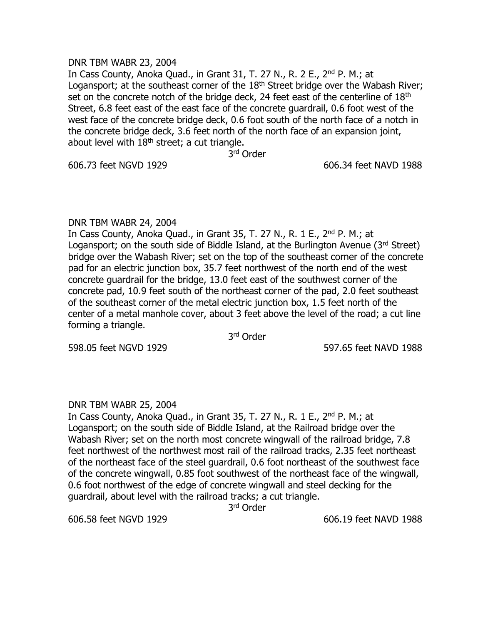#### DNR TBM WABR 23, 2004

In Cass County, Anoka Quad., in Grant 31, T. 27 N., R. 2 E., 2nd P. M.; at Logansport; at the southeast corner of the  $18<sup>th</sup>$  Street bridge over the Wabash River; set on the concrete notch of the bridge deck, 24 feet east of the centerline of 18<sup>th</sup> Street, 6.8 feet east of the east face of the concrete guardrail, 0.6 foot west of the west face of the concrete bridge deck, 0.6 foot south of the north face of a notch in the concrete bridge deck, 3.6 feet north of the north face of an expansion joint, about level with  $18<sup>th</sup>$  street; a cut triangle.

3 rd Order

606.73 feet NGVD 1929 606.34 feet NAVD 1988

#### DNR TBM WABR 24, 2004

In Cass County, Anoka Quad., in Grant 35, T. 27 N., R. 1 E., 2nd P. M.; at Logansport; on the south side of Biddle Island, at the Burlington Avenue ( $3<sup>rd</sup>$  Street) bridge over the Wabash River; set on the top of the southeast corner of the concrete pad for an electric junction box, 35.7 feet northwest of the north end of the west concrete guardrail for the bridge, 13.0 feet east of the southwest corner of the concrete pad, 10.9 feet south of the northeast corner of the pad, 2.0 feet southeast of the southeast corner of the metal electric junction box, 1.5 feet north of the center of a metal manhole cover, about 3 feet above the level of the road; a cut line forming a triangle.

3 rd Order

598.05 feet NGVD 1929 597.65 feet NAVD 1988

# DNR TBM WABR 25, 2004

In Cass County, Anoka Quad., in Grant 35, T. 27 N., R. 1 E., 2nd P. M.; at Logansport; on the south side of Biddle Island, at the Railroad bridge over the Wabash River; set on the north most concrete wingwall of the railroad bridge, 7.8 feet northwest of the northwest most rail of the railroad tracks, 2.35 feet northeast of the northeast face of the steel guardrail, 0.6 foot northeast of the southwest face of the concrete wingwall, 0.85 foot southwest of the northeast face of the wingwall, 0.6 foot northwest of the edge of concrete wingwall and steel decking for the guardrail, about level with the railroad tracks; a cut triangle.

3 rd Order

606.58 feet NGVD 1929 606.19 feet NAVD 1988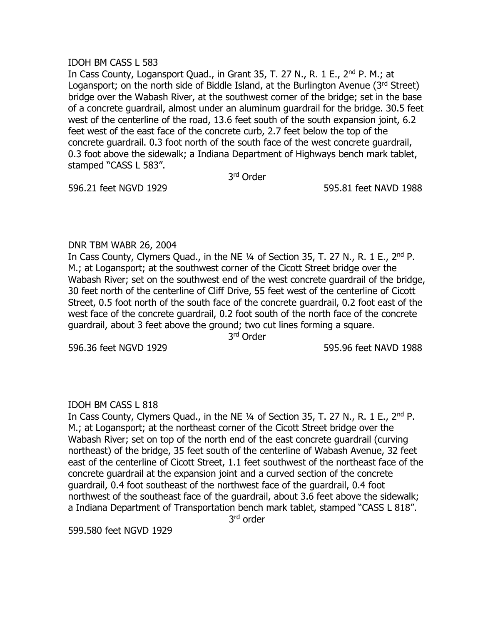#### IDOH BM CASS L 583

In Cass County, Logansport Quad., in Grant 35, T. 27 N., R. 1 E., 2<sup>nd</sup> P. M.; at Logansport; on the north side of Biddle Island, at the Burlington Avenue ( $3<sup>rd</sup>$  Street) bridge over the Wabash River, at the southwest corner of the bridge; set in the base of a concrete guardrail, almost under an aluminum guardrail for the bridge. 30.5 feet west of the centerline of the road, 13.6 feet south of the south expansion joint, 6.2 feet west of the east face of the concrete curb, 2.7 feet below the top of the concrete guardrail. 0.3 foot north of the south face of the west concrete guardrail, 0.3 foot above the sidewalk; a Indiana Department of Highways bench mark tablet, stamped "CASS L 583".

3 rd Order

596.21 feet NGVD 1929 595.81 feet NAVD 1988

# DNR TBM WABR 26, 2004

In Cass County, Clymers Quad., in the NE ¼ of Section 35, T. 27 N., R. 1 E., 2nd P. M.; at Logansport; at the southwest corner of the Cicott Street bridge over the Wabash River; set on the southwest end of the west concrete guardrail of the bridge, 30 feet north of the centerline of Cliff Drive, 55 feet west of the centerline of Cicott Street, 0.5 foot north of the south face of the concrete guardrail, 0.2 foot east of the west face of the concrete guardrail, 0.2 foot south of the north face of the concrete guardrail, about 3 feet above the ground; two cut lines forming a square.

3 rd Order

596.36 feet NGVD 1929 595.96 feet NAVD 1988

# IDOH BM CASS L 818

In Cass County, Clymers Quad., in the NE ¼ of Section 35, T. 27 N., R. 1 E., 2nd P. M.; at Logansport; at the northeast corner of the Cicott Street bridge over the Wabash River; set on top of the north end of the east concrete guardrail (curving northeast) of the bridge, 35 feet south of the centerline of Wabash Avenue, 32 feet east of the centerline of Cicott Street, 1.1 feet southwest of the northeast face of the concrete guardrail at the expansion joint and a curved section of the concrete guardrail, 0.4 foot southeast of the northwest face of the guardrail, 0.4 foot northwest of the southeast face of the guardrail, about 3.6 feet above the sidewalk; a Indiana Department of Transportation bench mark tablet, stamped "CASS L 818". 3<sup>rd</sup> order

599.580 feet NGVD 1929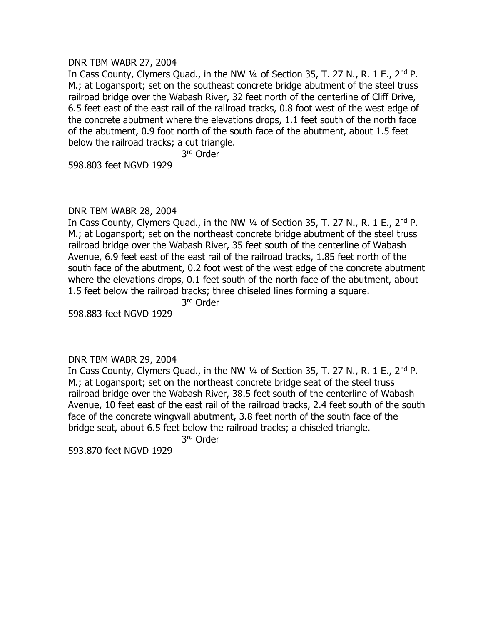#### DNR TBM WABR 27, 2004

In Cass County, Clymers Quad., in the NW 1/4 of Section 35, T. 27 N., R. 1 E., 2<sup>nd</sup> P. M.; at Logansport; set on the southeast concrete bridge abutment of the steel truss railroad bridge over the Wabash River, 32 feet north of the centerline of Cliff Drive, 6.5 feet east of the east rail of the railroad tracks, 0.8 foot west of the west edge of the concrete abutment where the elevations drops, 1.1 feet south of the north face of the abutment, 0.9 foot north of the south face of the abutment, about 1.5 feet below the railroad tracks; a cut triangle.

3 rd Order

598.803 feet NGVD 1929

#### DNR TBM WABR 28, 2004

In Cass County, Clymers Quad., in the NW 1/4 of Section 35, T. 27 N., R. 1 E., 2<sup>nd</sup> P. M.; at Logansport; set on the northeast concrete bridge abutment of the steel truss railroad bridge over the Wabash River, 35 feet south of the centerline of Wabash Avenue, 6.9 feet east of the east rail of the railroad tracks, 1.85 feet north of the south face of the abutment, 0.2 foot west of the west edge of the concrete abutment where the elevations drops, 0.1 feet south of the north face of the abutment, about 1.5 feet below the railroad tracks; three chiseled lines forming a square.

3 rd Order

598.883 feet NGVD 1929

#### DNR TBM WABR 29, 2004

In Cass County, Clymers Quad., in the NW 1/4 of Section 35, T. 27 N., R. 1 E., 2<sup>nd</sup> P. M.; at Logansport; set on the northeast concrete bridge seat of the steel truss railroad bridge over the Wabash River, 38.5 feet south of the centerline of Wabash Avenue, 10 feet east of the east rail of the railroad tracks, 2.4 feet south of the south face of the concrete wingwall abutment, 3.8 feet north of the south face of the bridge seat, about 6.5 feet below the railroad tracks; a chiseled triangle.

3 rd Order

593.870 feet NGVD 1929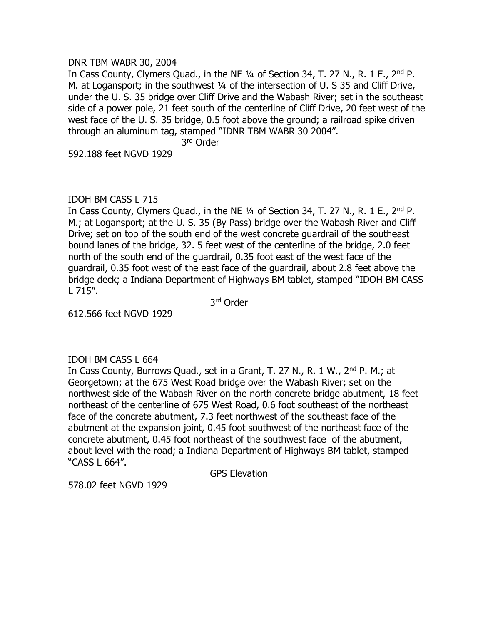#### DNR TBM WABR 30, 2004

In Cass County, Clymers Quad., in the NE 1/4 of Section 34, T. 27 N., R. 1 E., 2<sup>nd</sup> P. M. at Logansport; in the southwest 1/4 of the intersection of U. S 35 and Cliff Drive, under the U. S. 35 bridge over Cliff Drive and the Wabash River; set in the southeast side of a power pole, 21 feet south of the centerline of Cliff Drive, 20 feet west of the west face of the U. S. 35 bridge, 0.5 foot above the ground; a railroad spike driven through an aluminum tag, stamped "IDNR TBM WABR 30 2004".

3 rd Order

592.188 feet NGVD 1929

# IDOH BM CASS L 715

In Cass County, Clymers Quad., in the NE 1/4 of Section 34, T. 27 N., R. 1 E., 2<sup>nd</sup> P. M.; at Logansport; at the U. S. 35 (By Pass) bridge over the Wabash River and Cliff Drive; set on top of the south end of the west concrete guardrail of the southeast bound lanes of the bridge, 32. 5 feet west of the centerline of the bridge, 2.0 feet north of the south end of the guardrail, 0.35 foot east of the west face of the guardrail, 0.35 foot west of the east face of the guardrail, about 2.8 feet above the bridge deck; a Indiana Department of Highways BM tablet, stamped "IDOH BM CASS L 715".

3 rd Order

612.566 feet NGVD 1929

# IDOH BM CASS L 664

In Cass County, Burrows Quad., set in a Grant, T. 27 N., R. 1 W., 2<sup>nd</sup> P. M.; at Georgetown; at the 675 West Road bridge over the Wabash River; set on the northwest side of the Wabash River on the north concrete bridge abutment, 18 feet northeast of the centerline of 675 West Road, 0.6 foot southeast of the northeast face of the concrete abutment, 7.3 feet northwest of the southeast face of the abutment at the expansion joint, 0.45 foot southwest of the northeast face of the concrete abutment, 0.45 foot northeast of the southwest face of the abutment, about level with the road; a Indiana Department of Highways BM tablet, stamped "CASS L 664".

GPS Elevation

578.02 feet NGVD 1929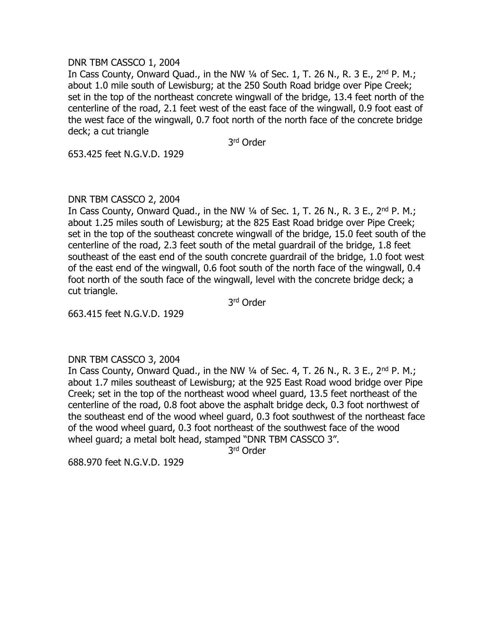#### DNR TBM CASSCO 1, 2004

In Cass County, Onward Quad., in the NW  $\frac{1}{4}$  of Sec. 1, T. 26 N., R. 3 E., 2<sup>nd</sup> P. M.; about 1.0 mile south of Lewisburg; at the 250 South Road bridge over Pipe Creek; set in the top of the northeast concrete wingwall of the bridge, 13.4 feet north of the centerline of the road, 2.1 feet west of the east face of the wingwall, 0.9 foot east of the west face of the wingwall, 0.7 foot north of the north face of the concrete bridge deck; a cut triangle

3 rd Order

653.425 feet N.G.V.D. 1929

# DNR TBM CASSCO 2, 2004

In Cass County, Onward Quad., in the NW  $\frac{1}{4}$  of Sec. 1, T. 26 N., R. 3 E., 2<sup>nd</sup> P. M.; about 1.25 miles south of Lewisburg; at the 825 East Road bridge over Pipe Creek; set in the top of the southeast concrete wingwall of the bridge, 15.0 feet south of the centerline of the road, 2.3 feet south of the metal guardrail of the bridge, 1.8 feet southeast of the east end of the south concrete guardrail of the bridge, 1.0 foot west of the east end of the wingwall, 0.6 foot south of the north face of the wingwall, 0.4 foot north of the south face of the wingwall, level with the concrete bridge deck; a cut triangle.

3 rd Order

663.415 feet N.G.V.D. 1929

# DNR TBM CASSCO 3, 2004

In Cass County, Onward Quad., in the NW  $\frac{1}{4}$  of Sec. 4, T. 26 N., R. 3 E., 2<sup>nd</sup> P. M.; about 1.7 miles southeast of Lewisburg; at the 925 East Road wood bridge over Pipe Creek; set in the top of the northeast wood wheel guard, 13.5 feet northeast of the centerline of the road, 0.8 foot above the asphalt bridge deck, 0.3 foot northwest of the southeast end of the wood wheel guard, 0.3 foot southwest of the northeast face of the wood wheel guard, 0.3 foot northeast of the southwest face of the wood wheel guard; a metal bolt head, stamped "DNR TBM CASSCO 3".

3 rd Order

688.970 feet N.G.V.D. 1929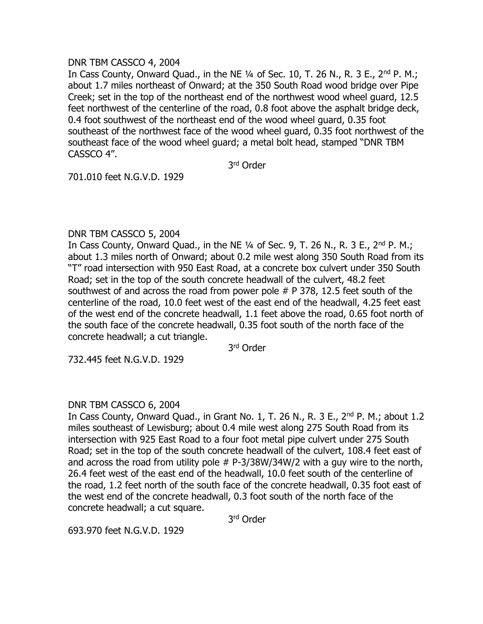### DNR TBM CASSCO 4, 2004

In Cass County, Onward Quad., in the NE  $\frac{1}{4}$  of Sec. 10, T. 26 N., R. 3 E., 2<sup>nd</sup> P. M.; about 1.7 miles northeast of Onward; at the 350 South Road wood bridge over Pipe Creek; set in the top of the northeast end of the northwest wood wheel guard, 12.5 feet northwest of the centerline of the road, 0.8 foot above the asphalt bridge deck, 0.4 foot southwest of the northeast end of the wood wheel guard, 0.35 foot southeast of the northwest face of the wood wheel guard, 0.35 foot northwest of the southeast face of the wood wheel guard; a metal bolt head, stamped "DNR TBM CASSCO 4".

3 rd Order

701.010 feet N.G.V.D. 1929

# DNR TBM CASSCO 5, 2004

In Cass County, Onward Quad., in the NE  $\frac{1}{4}$  of Sec. 9, T. 26 N., R. 3 E., 2<sup>nd</sup> P. M.; about 1.3 miles north of Onward; about 0.2 mile west along 350 South Road from its "T" road intersection with 950 East Road, at a concrete box culvert under 350 South Road; set in the top of the south concrete headwall of the culvert, 48.2 feet southwest of and across the road from power pole # P 378, 12.5 feet south of the centerline of the road, 10.0 feet west of the east end of the headwall, 4.25 feet east of the west end of the concrete headwall, 1.1 feet above the road, 0.65 foot north of the south face of the concrete headwall, 0.35 foot south of the north face of the concrete headwall; a cut triangle.

3 rd Order

732.445 feet N.G.V.D. 1929

# DNR TBM CASSCO 6, 2004

In Cass County, Onward Quad., in Grant No. 1, T. 26 N., R. 3 E., 2<sup>nd</sup> P. M.; about 1.2 miles southeast of Lewisburg; about 0.4 mile west along 275 South Road from its intersection with 925 East Road to a four foot metal pipe culvert under 275 South Road; set in the top of the south concrete headwall of the culvert, 108.4 feet east of and across the road from utility pole # P-3/38W/34W/2 with a guy wire to the north, 26.4 feet west of the east end of the headwall, 10.0 feet south of the centerline of the road, 1.2 feet north of the south face of the concrete headwall, 0.35 foot east of the west end of the concrete headwall, 0.3 foot south of the north face of the concrete headwall; a cut square.

3 rd Order

693.970 feet N.G.V.D. 1929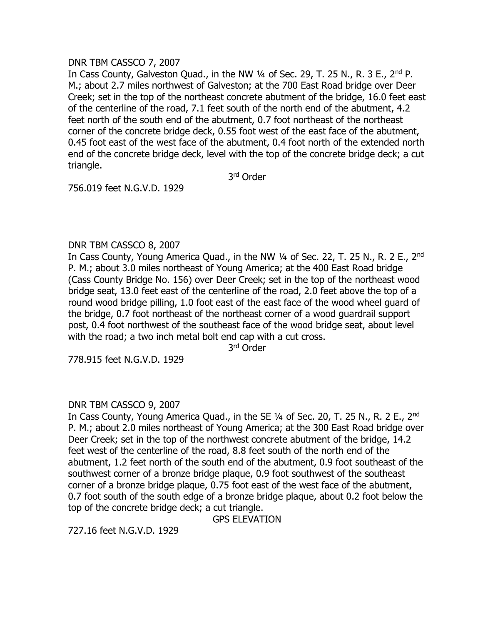# DNR TBM CASSCO 7, 2007

In Cass County, Galveston Quad., in the NW 1/4 of Sec. 29, T. 25 N., R. 3 E., 2<sup>nd</sup> P. M.; about 2.7 miles northwest of Galveston; at the 700 East Road bridge over Deer Creek; set in the top of the northeast concrete abutment of the bridge, 16.0 feet east of the centerline of the road, 7.1 feet south of the north end of the abutment, 4.2 feet north of the south end of the abutment, 0.7 foot northeast of the northeast corner of the concrete bridge deck, 0.55 foot west of the east face of the abutment, 0.45 foot east of the west face of the abutment, 0.4 foot north of the extended north end of the concrete bridge deck, level with the top of the concrete bridge deck; a cut triangle.

3 rd Order

756.019 feet N.G.V.D. 1929

# DNR TBM CASSCO 8, 2007

In Cass County, Young America Quad., in the NW 1/4 of Sec. 22, T. 25 N., R. 2 E., 2<sup>nd</sup> P. M.; about 3.0 miles northeast of Young America; at the 400 East Road bridge (Cass County Bridge No. 156) over Deer Creek; set in the top of the northeast wood bridge seat, 13.0 feet east of the centerline of the road, 2.0 feet above the top of a round wood bridge pilling, 1.0 foot east of the east face of the wood wheel guard of the bridge, 0.7 foot northeast of the northeast corner of a wood guardrail support post, 0.4 foot northwest of the southeast face of the wood bridge seat, about level with the road; a two inch metal bolt end cap with a cut cross.

3 rd Order

778.915 feet N.G.V.D. 1929

# DNR TBM CASSCO 9, 2007

In Cass County, Young America Quad., in the SE 1/4 of Sec. 20, T. 25 N., R. 2 E., 2<sup>nd</sup> P. M.; about 2.0 miles northeast of Young America; at the 300 East Road bridge over Deer Creek; set in the top of the northwest concrete abutment of the bridge, 14.2 feet west of the centerline of the road, 8.8 feet south of the north end of the abutment, 1.2 feet north of the south end of the abutment, 0.9 foot southeast of the southwest corner of a bronze bridge plaque, 0.9 foot southwest of the southeast corner of a bronze bridge plaque, 0.75 foot east of the west face of the abutment, 0.7 foot south of the south edge of a bronze bridge plaque, about 0.2 foot below the top of the concrete bridge deck; a cut triangle.

GPS ELEVATION

727.16 feet N.G.V.D. 1929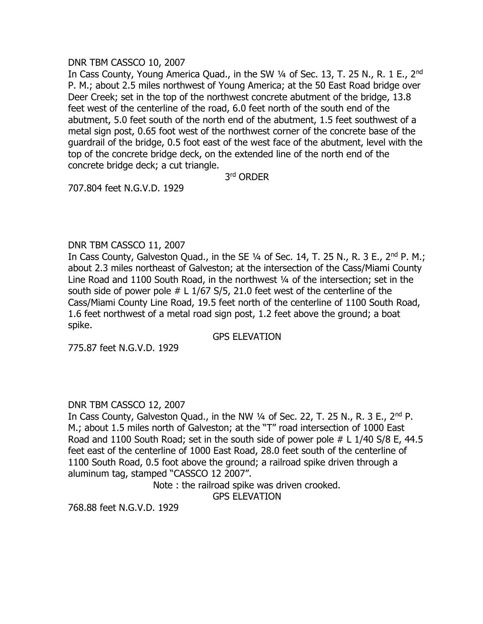### DNR TBM CASSCO 10, 2007

In Cass County, Young America Quad., in the SW 1/4 of Sec. 13, T. 25 N., R. 1 E., 2<sup>nd</sup> P. M.; about 2.5 miles northwest of Young America; at the 50 East Road bridge over Deer Creek; set in the top of the northwest concrete abutment of the bridge, 13.8 feet west of the centerline of the road, 6.0 feet north of the south end of the abutment, 5.0 feet south of the north end of the abutment, 1.5 feet southwest of a metal sign post, 0.65 foot west of the northwest corner of the concrete base of the guardrail of the bridge, 0.5 foot east of the west face of the abutment, level with the top of the concrete bridge deck, on the extended line of the north end of the concrete bridge deck; a cut triangle.

3 rd ORDER

707.804 feet N.G.V.D. 1929

# DNR TBM CASSCO 11, 2007

In Cass County, Galveston Quad., in the SE  $\frac{1}{4}$  of Sec. 14, T. 25 N., R. 3 E., 2<sup>nd</sup> P. M.; about 2.3 miles northeast of Galveston; at the intersection of the Cass/Miami County Line Road and 1100 South Road, in the northwest 1/4 of the intersection; set in the south side of power pole  $# L 1/67 S/5$ , 21.0 feet west of the centerline of the Cass/Miami County Line Road, 19.5 feet north of the centerline of 1100 South Road, 1.6 feet northwest of a metal road sign post, 1.2 feet above the ground; a boat spike.

GPS ELEVATION

775.87 feet N.G.V.D. 1929

# DNR TBM CASSCO 12, 2007

In Cass County, Galveston Quad., in the NW 1/4 of Sec. 22, T. 25 N., R. 3 E., 2<sup>nd</sup> P. M.; about 1.5 miles north of Galveston; at the "T" road intersection of 1000 East Road and 1100 South Road; set in the south side of power pole # L 1/40 S/8 E, 44.5 feet east of the centerline of 1000 East Road, 28.0 feet south of the centerline of 1100 South Road, 0.5 foot above the ground; a railroad spike driven through a aluminum tag, stamped "CASSCO 12 2007".

> Note : the railroad spike was driven crooked. GPS ELEVATION

768.88 feet N.G.V.D. 1929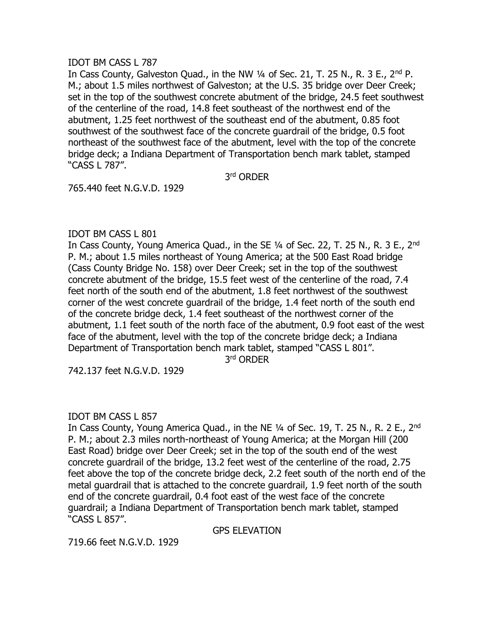### IDOT BM CASS L 787

In Cass County, Galveston Quad., in the NW 1/4 of Sec. 21, T. 25 N., R. 3 E., 2<sup>nd</sup> P. M.; about 1.5 miles northwest of Galveston; at the U.S. 35 bridge over Deer Creek; set in the top of the southwest concrete abutment of the bridge, 24.5 feet southwest of the centerline of the road, 14.8 feet southeast of the northwest end of the abutment, 1.25 feet northwest of the southeast end of the abutment, 0.85 foot southwest of the southwest face of the concrete guardrail of the bridge, 0.5 foot northeast of the southwest face of the abutment, level with the top of the concrete bridge deck; a Indiana Department of Transportation bench mark tablet, stamped "CASS L 787".

3 rd ORDER

765.440 feet N.G.V.D. 1929

# IDOT BM CASS L 801

In Cass County, Young America Quad., in the SE 1/4 of Sec. 22, T. 25 N., R. 3 E., 2<sup>nd</sup> P. M.; about 1.5 miles northeast of Young America; at the 500 East Road bridge (Cass County Bridge No. 158) over Deer Creek; set in the top of the southwest concrete abutment of the bridge, 15.5 feet west of the centerline of the road, 7.4 feet north of the south end of the abutment, 1.8 feet northwest of the southwest corner of the west concrete guardrail of the bridge, 1.4 feet north of the south end of the concrete bridge deck, 1.4 feet southeast of the northwest corner of the abutment, 1.1 feet south of the north face of the abutment, 0.9 foot east of the west face of the abutment, level with the top of the concrete bridge deck; a Indiana Department of Transportation bench mark tablet, stamped "CASS L 801".

3 rd ORDER

742.137 feet N.G.V.D. 1929

# IDOT BM CASS L 857

In Cass County, Young America Quad., in the NE 1/4 of Sec. 19, T. 25 N., R. 2 E., 2<sup>nd</sup> P. M.; about 2.3 miles north-northeast of Young America; at the Morgan Hill (200 East Road) bridge over Deer Creek; set in the top of the south end of the west concrete guardrail of the bridge, 13.2 feet west of the centerline of the road, 2.75 feet above the top of the concrete bridge deck, 2.2 feet south of the north end of the metal guardrail that is attached to the concrete guardrail, 1.9 feet north of the south end of the concrete guardrail, 0.4 foot east of the west face of the concrete guardrail; a Indiana Department of Transportation bench mark tablet, stamped "CASS L 857".

GPS ELEVATION

719.66 feet N.G.V.D. 1929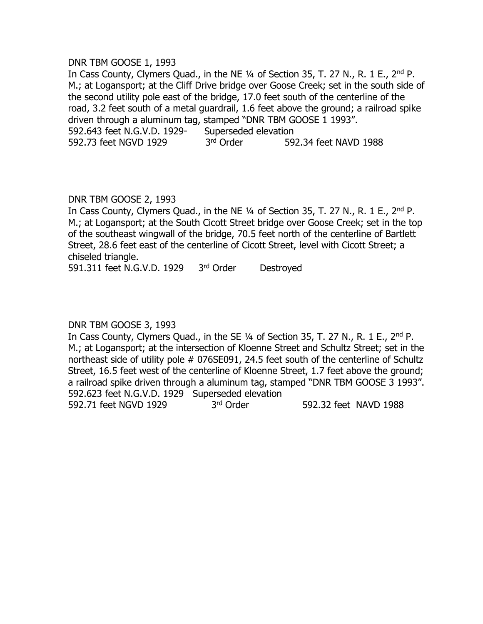#### DNR TBM GOOSE 1, 1993

In Cass County, Clymers Quad., in the NE 1/4 of Section 35, T. 27 N., R. 1 E., 2<sup>nd</sup> P. M.; at Logansport; at the Cliff Drive bridge over Goose Creek; set in the south side of the second utility pole east of the bridge, 17.0 feet south of the centerline of the road, 3.2 feet south of a metal guardrail, 1.6 feet above the ground; a railroad spike driven through a aluminum tag, stamped "DNR TBM GOOSE 1 1993". 592.643 feet N.G.V.D. 1929 Superseded elevation 592.73 feet NGVD 1929 3rd Order 592.34 feet NAVD 1988

# DNR TBM GOOSE 2, 1993

In Cass County, Clymers Quad., in the NE 1/4 of Section 35, T. 27 N., R. 1 E., 2<sup>nd</sup> P. M.; at Logansport; at the South Cicott Street bridge over Goose Creek; set in the top of the southeast wingwall of the bridge, 70.5 feet north of the centerline of Bartlett Street, 28.6 feet east of the centerline of Cicott Street, level with Cicott Street; a chiseled triangle.

591.311 feet N.G.V.D. 1929 3rd Order Destroyed

# DNR TBM GOOSE 3, 1993

In Cass County, Clymers Quad., in the SE 1/4 of Section 35, T. 27 N., R. 1 E., 2<sup>nd</sup> P. M.; at Logansport; at the intersection of Kloenne Street and Schultz Street; set in the northeast side of utility pole # 076SE091, 24.5 feet south of the centerline of Schultz Street, 16.5 feet west of the centerline of Kloenne Street, 1.7 feet above the ground; a railroad spike driven through a aluminum tag, stamped "DNR TBM GOOSE 3 1993". 592.623 feet N.G.V.D. 1929 Superseded elevation 592.71 feet NGVD 1929 3rd Order 592.32 feet NAVD 1988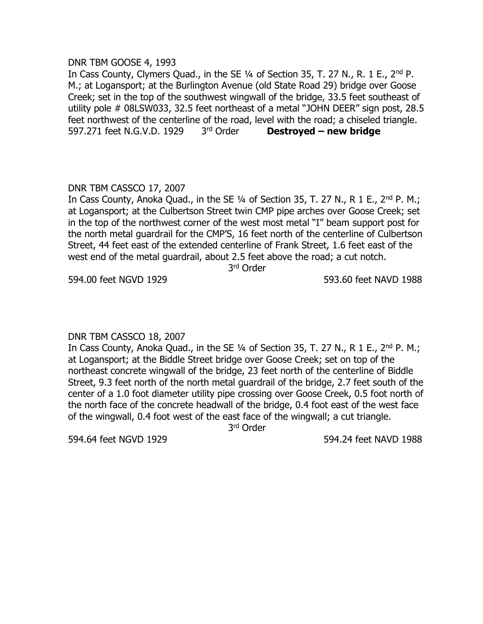#### DNR TBM GOOSE 4, 1993

In Cass County, Clymers Quad., in the SE 1/4 of Section 35, T. 27 N., R. 1 E., 2<sup>nd</sup> P. M.; at Logansport; at the Burlington Avenue (old State Road 29) bridge over Goose Creek; set in the top of the southwest wingwall of the bridge, 33.5 feet southeast of utility pole # 08LSW033, 32.5 feet northeast of a metal "JOHN DEER" sign post, 28.5 feet northwest of the centerline of the road, level with the road; a chiseled triangle. 597.271 feet N.G.V.D. 1929 3rd Order **Destroyed – new bridge** 

# DNR TBM CASSCO 17, 2007

In Cass County, Anoka Quad., in the SE  $1/4$  of Section 35, T. 27 N., R 1 E., 2<sup>nd</sup> P. M.; at Logansport; at the Culbertson Street twin CMP pipe arches over Goose Creek; set in the top of the northwest corner of the west most metal "I" beam support post for the north metal guardrail for the CMP'S, 16 feet north of the centerline of Culbertson Street, 44 feet east of the extended centerline of Frank Street, 1.6 feet east of the west end of the metal guardrail, about 2.5 feet above the road; a cut notch.

3 rd Order

594.00 feet NGVD 1929 593.60 feet NAVD 1988

# DNR TBM CASSCO 18, 2007

In Cass County, Anoka Quad., in the SE  $\frac{1}{4}$  of Section 35, T. 27 N., R 1 E., 2<sup>nd</sup> P. M.; at Logansport; at the Biddle Street bridge over Goose Creek; set on top of the northeast concrete wingwall of the bridge, 23 feet north of the centerline of Biddle Street, 9.3 feet north of the north metal guardrail of the bridge, 2.7 feet south of the center of a 1.0 foot diameter utility pipe crossing over Goose Creek, 0.5 foot north of the north face of the concrete headwall of the bridge, 0.4 foot east of the west face of the wingwall, 0.4 foot west of the east face of the wingwall; a cut triangle.

3 rd Order

594.64 feet NGVD 1929 594.24 feet NAVD 1988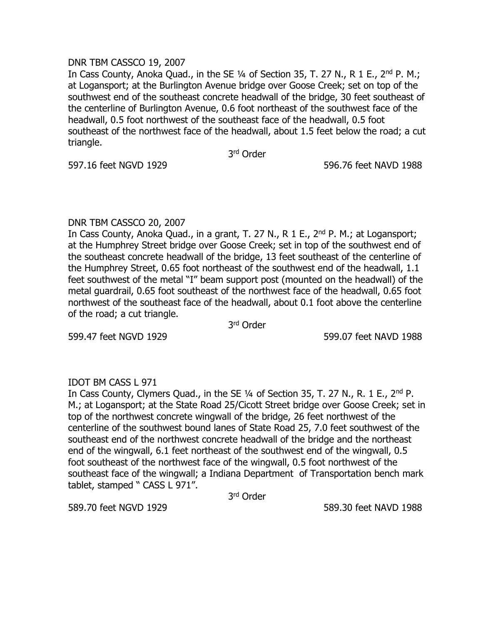#### DNR TBM CASSCO 19, 2007

In Cass County, Anoka Ouad., in the SE  $1/4$  of Section 35, T, 27 N,, R 1 E,, 2<sup>nd</sup> P, M,; at Logansport; at the Burlington Avenue bridge over Goose Creek; set on top of the southwest end of the southeast concrete headwall of the bridge, 30 feet southeast of the centerline of Burlington Avenue, 0.6 foot northeast of the southwest face of the headwall, 0.5 foot northwest of the southeast face of the headwall, 0.5 foot southeast of the northwest face of the headwall, about 1.5 feet below the road; a cut triangle.

3 rd Order

597.16 feet NGVD 1929 596.76 feet NAVD 1988

# DNR TBM CASSCO 20, 2007

In Cass County, Anoka Quad., in a grant, T. 27 N., R 1 E., 2<sup>nd</sup> P. M.; at Logansport; at the Humphrey Street bridge over Goose Creek; set in top of the southwest end of the southeast concrete headwall of the bridge, 13 feet southeast of the centerline of the Humphrey Street, 0.65 foot northeast of the southwest end of the headwall, 1.1 feet southwest of the metal "I" beam support post (mounted on the headwall) of the metal guardrail, 0.65 foot southeast of the northwest face of the headwall, 0.65 foot northwest of the southeast face of the headwall, about 0.1 foot above the centerline of the road; a cut triangle.

3 rd Order

599.47 feet NGVD 1929 599.07 feet NAVD 1988

# IDOT BM CASS L 971

In Cass County, Clymers Quad., in the SE ¼ of Section 35, T. 27 N., R. 1 E., 2nd P. M.; at Logansport; at the State Road 25/Cicott Street bridge over Goose Creek; set in top of the northwest concrete wingwall of the bridge, 26 feet northwest of the centerline of the southwest bound lanes of State Road 25, 7.0 feet southwest of the southeast end of the northwest concrete headwall of the bridge and the northeast end of the wingwall, 6.1 feet northeast of the southwest end of the wingwall, 0.5 foot southeast of the northwest face of the wingwall, 0.5 foot northwest of the southeast face of the wingwall; a Indiana Department of Transportation bench mark tablet, stamped " CASS L 971".

3 rd Order

589.70 feet NGVD 1929 589.30 feet NAVD 1988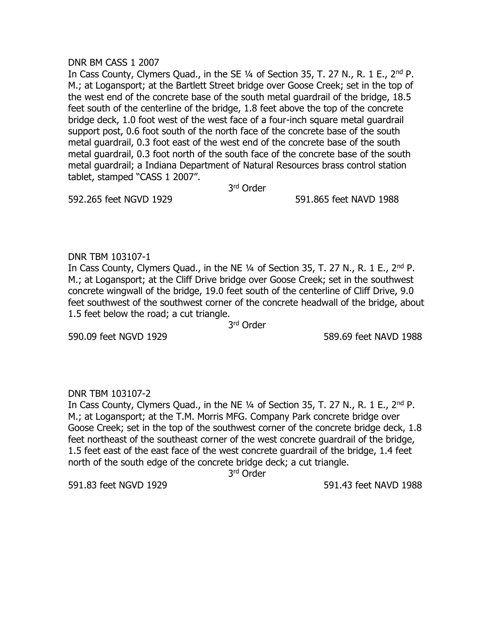#### DNR BM CASS 1 2007

In Cass County, Clymers Quad., in the SE 1/4 of Section 35, T. 27 N., R. 1 E., 2<sup>nd</sup> P. M.; at Logansport; at the Bartlett Street bridge over Goose Creek; set in the top of the west end of the concrete base of the south metal guardrail of the bridge, 18.5 feet south of the centerline of the bridge, 1.8 feet above the top of the concrete bridge deck, 1.0 foot west of the west face of a four-inch square metal guardrail support post, 0.6 foot south of the north face of the concrete base of the south metal guardrail, 0.3 foot east of the west end of the concrete base of the south metal guardrail, 0.3 foot north of the south face of the concrete base of the south metal guardrail; a Indiana Department of Natural Resources brass control station tablet, stamped "CASS 1 2007".

3 rd Order

592.265 feet NGVD 1929 591.865 feet NAVD 1988

# DNR TBM 103107-1

In Cass County, Clymers Quad., in the NE ¼ of Section 35, T. 27 N., R. 1 E., 2nd P. M.; at Logansport; at the Cliff Drive bridge over Goose Creek; set in the southwest concrete wingwall of the bridge, 19.0 feet south of the centerline of Cliff Drive, 9.0 feet southwest of the southwest corner of the concrete headwall of the bridge, about 1.5 feet below the road; a cut triangle.

3 rd Order

590.09 feet NGVD 1929 589.69 feet NAVD 1988

# DNR TBM 103107-2

In Cass County, Clymers Quad., in the NE 1/4 of Section 35, T. 27 N., R. 1 E., 2<sup>nd</sup> P. M.; at Logansport; at the T.M. Morris MFG. Company Park concrete bridge over Goose Creek; set in the top of the southwest corner of the concrete bridge deck, 1.8 feet northeast of the southeast corner of the west concrete guardrail of the bridge, 1.5 feet east of the east face of the west concrete guardrail of the bridge, 1.4 feet north of the south edge of the concrete bridge deck; a cut triangle.

3 rd Order

591.83 feet NGVD 1929 591.43 feet NAVD 1988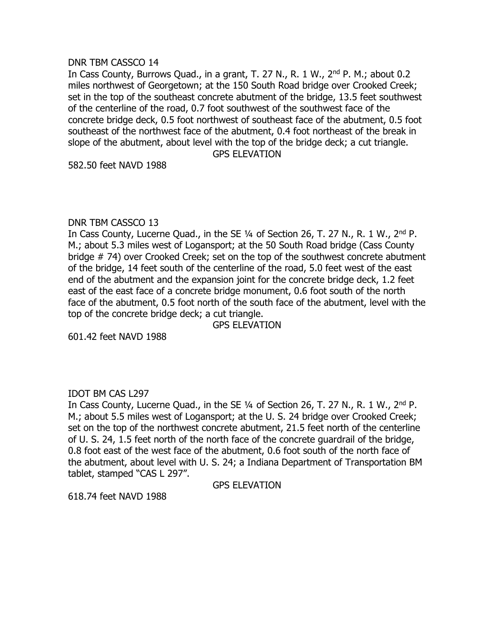#### DNR TBM CASSCO 14

In Cass County, Burrows Quad., in a grant, T. 27 N., R. 1 W., 2<sup>nd</sup> P. M.; about 0.2 miles northwest of Georgetown; at the 150 South Road bridge over Crooked Creek; set in the top of the southeast concrete abutment of the bridge, 13.5 feet southwest of the centerline of the road, 0.7 foot southwest of the southwest face of the concrete bridge deck, 0.5 foot northwest of southeast face of the abutment, 0.5 foot southeast of the northwest face of the abutment, 0.4 foot northeast of the break in slope of the abutment, about level with the top of the bridge deck; a cut triangle. GPS ELEVATION

582.50 feet NAVD 1988

#### DNR TBM CASSCO 13

In Cass County, Lucerne Quad., in the SE 1/4 of Section 26, T. 27 N., R. 1 W., 2<sup>nd</sup> P. M.; about 5.3 miles west of Logansport; at the 50 South Road bridge (Cass County bridge # 74) over Crooked Creek; set on the top of the southwest concrete abutment of the bridge, 14 feet south of the centerline of the road, 5.0 feet west of the east end of the abutment and the expansion joint for the concrete bridge deck, 1.2 feet east of the east face of a concrete bridge monument, 0.6 foot south of the north face of the abutment, 0.5 foot north of the south face of the abutment, level with the top of the concrete bridge deck; a cut triangle.

GPS ELEVATION

601.42 feet NAVD 1988

# IDOT BM CAS L297

In Cass County, Lucerne Quad., in the SE 1/4 of Section 26, T. 27 N., R. 1 W., 2<sup>nd</sup> P. M.; about 5.5 miles west of Logansport; at the U. S. 24 bridge over Crooked Creek; set on the top of the northwest concrete abutment, 21.5 feet north of the centerline of U. S. 24, 1.5 feet north of the north face of the concrete guardrail of the bridge, 0.8 foot east of the west face of the abutment, 0.6 foot south of the north face of the abutment, about level with U. S. 24; a Indiana Department of Transportation BM tablet, stamped "CAS L 297".

GPS ELEVATION

618.74 feet NAVD 1988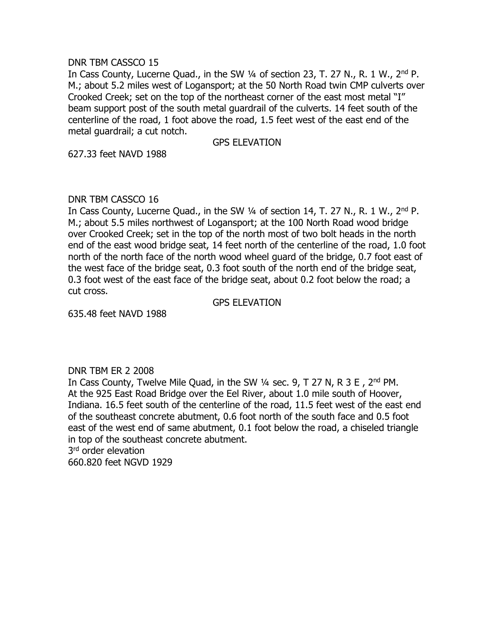#### DNR TBM CASSCO 15

In Cass County, Lucerne Quad., in the SW 1/4 of section 23, T. 27 N., R. 1 W., 2<sup>nd</sup> P. M.; about 5.2 miles west of Logansport; at the 50 North Road twin CMP culverts over Crooked Creek; set on the top of the northeast corner of the east most metal "I" beam support post of the south metal guardrail of the culverts. 14 feet south of the centerline of the road, 1 foot above the road, 1.5 feet west of the east end of the metal guardrail; a cut notch.

GPS ELEVATION

627.33 feet NAVD 1988

# DNR TBM CASSCO 16

In Cass County, Lucerne Quad., in the SW 1/4 of section 14, T. 27 N., R. 1 W., 2<sup>nd</sup> P. M.; about 5.5 miles northwest of Logansport; at the 100 North Road wood bridge over Crooked Creek; set in the top of the north most of two bolt heads in the north end of the east wood bridge seat, 14 feet north of the centerline of the road, 1.0 foot north of the north face of the north wood wheel guard of the bridge, 0.7 foot east of the west face of the bridge seat, 0.3 foot south of the north end of the bridge seat, 0.3 foot west of the east face of the bridge seat, about 0.2 foot below the road; a cut cross.

GPS ELEVATION

635.48 feet NAVD 1988

# DNR TBM ER 2 2008

In Cass County, Twelve Mile Quad, in the SW ¼ sec. 9, T 27 N, R 3 E , 2nd PM. At the 925 East Road Bridge over the Eel River, about 1.0 mile south of Hoover, Indiana. 16.5 feet south of the centerline of the road, 11.5 feet west of the east end of the southeast concrete abutment, 0.6 foot north of the south face and 0.5 foot east of the west end of same abutment, 0.1 foot below the road, a chiseled triangle in top of the southeast concrete abutment.

3<sup>rd</sup> order elevation

660.820 feet NGVD 1929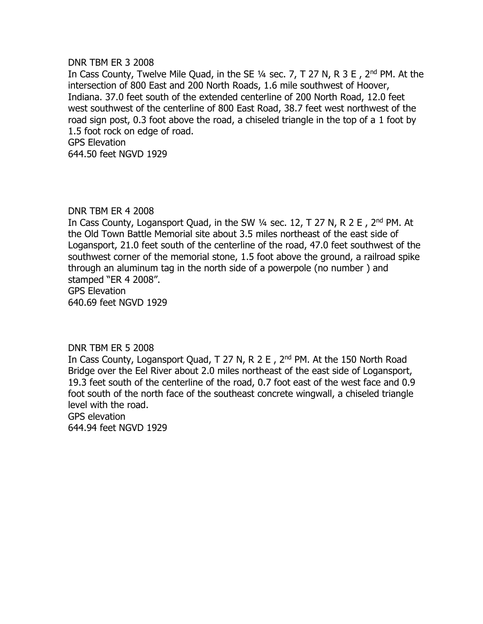#### DNR TBM ER 3 2008

In Cass County, Twelve Mile Quad, in the SE ¼ sec. 7, T 27 N, R 3 E , 2nd PM. At the intersection of 800 East and 200 North Roads, 1.6 mile southwest of Hoover, Indiana. 37.0 feet south of the extended centerline of 200 North Road, 12.0 feet west southwest of the centerline of 800 East Road, 38.7 feet west northwest of the road sign post, 0.3 foot above the road, a chiseled triangle in the top of a 1 foot by 1.5 foot rock on edge of road. GPS Elevation 644.50 feet NGVD 1929

#### DNR TBM ER 4 2008

In Cass County, Logansport Quad, in the SW 1/4 sec. 12, T 27 N, R 2 E, 2<sup>nd</sup> PM. At the Old Town Battle Memorial site about 3.5 miles northeast of the east side of Logansport, 21.0 feet south of the centerline of the road, 47.0 feet southwest of the southwest corner of the memorial stone, 1.5 foot above the ground, a railroad spike through an aluminum tag in the north side of a powerpole (no number ) and stamped "ER 4 2008". GPS Elevation 640.69 feet NGVD 1929

#### DNR TBM ER 5 2008

In Cass County, Logansport Quad, T 27 N, R 2 E, 2<sup>nd</sup> PM. At the 150 North Road Bridge over the Eel River about 2.0 miles northeast of the east side of Logansport, 19.3 feet south of the centerline of the road, 0.7 foot east of the west face and 0.9 foot south of the north face of the southeast concrete wingwall, a chiseled triangle level with the road.

GPS elevation 644.94 feet NGVD 1929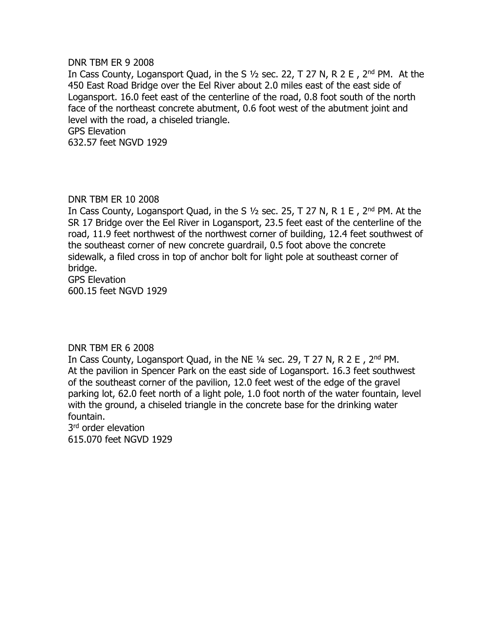#### DNR TBM ER 9 2008

In Cass County, Logansport Quad, in the S 1/2 sec. 22, T 27 N, R 2 E, 2<sup>nd</sup> PM. At the 450 East Road Bridge over the Eel River about 2.0 miles east of the east side of Logansport. 16.0 feet east of the centerline of the road, 0.8 foot south of the north face of the northeast concrete abutment, 0.6 foot west of the abutment joint and level with the road, a chiseled triangle. GPS Elevation 632.57 feet NGVD 1929

#### DNR TBM ER 10 2008

In Cass County, Logansport Quad, in the S  $1/2$  sec. 25, T 27 N, R 1 E, 2<sup>nd</sup> PM. At the SR 17 Bridge over the Eel River in Logansport, 23.5 feet east of the centerline of the road, 11.9 feet northwest of the northwest corner of building, 12.4 feet southwest of the southeast corner of new concrete guardrail, 0.5 foot above the concrete sidewalk, a filed cross in top of anchor bolt for light pole at southeast corner of bridge.

GPS Elevation 600.15 feet NGVD 1929

# DNR TBM ER 6 2008

In Cass County, Logansport Quad, in the NE 1/4 sec. 29, T 27 N, R 2 E, 2<sup>nd</sup> PM. At the pavilion in Spencer Park on the east side of Logansport. 16.3 feet southwest of the southeast corner of the pavilion, 12.0 feet west of the edge of the gravel parking lot, 62.0 feet north of a light pole, 1.0 foot north of the water fountain, level with the ground, a chiseled triangle in the concrete base for the drinking water fountain.

3<sup>rd</sup> order elevation 615.070 feet NGVD 1929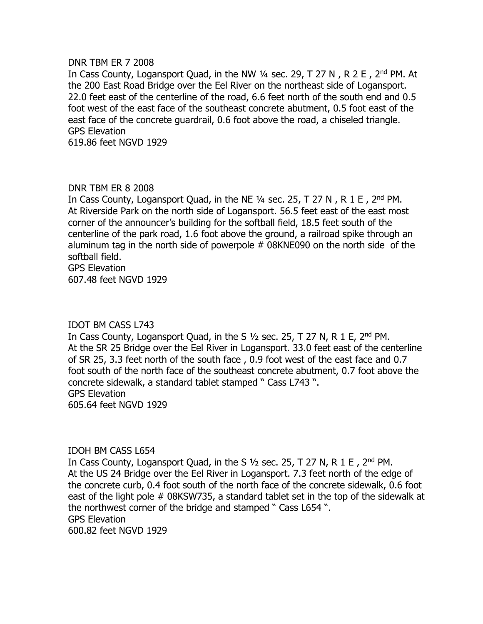#### DNR TBM ER 7 2008

In Cass County, Logansport Quad, in the NW 1/4 sec. 29, T 27 N, R 2 E, 2<sup>nd</sup> PM. At the 200 East Road Bridge over the Eel River on the northeast side of Logansport. 22.0 feet east of the centerline of the road, 6.6 feet north of the south end and 0.5 foot west of the east face of the southeast concrete abutment, 0.5 foot east of the east face of the concrete guardrail, 0.6 foot above the road, a chiseled triangle. GPS Elevation

619.86 feet NGVD 1929

#### DNR TBM ER 8 2008

In Cass County, Logansport Quad, in the NE 1/4 sec. 25, T 27 N, R 1 E, 2nd PM. At Riverside Park on the north side of Logansport. 56.5 feet east of the east most corner of the announcer's building for the softball field, 18.5 feet south of the centerline of the park road, 1.6 foot above the ground, a railroad spike through an aluminum tag in the north side of powerpole # 08KNE090 on the north side of the softball field.

GPS Elevation 607.48 feet NGVD 1929

#### IDOT BM CASS L743

In Cass County, Logansport Quad, in the S  $1/2$  sec. 25, T 27 N, R 1 E, 2<sup>nd</sup> PM. At the SR 25 Bridge over the Eel River in Logansport. 33.0 feet east of the centerline of SR 25, 3.3 feet north of the south face , 0.9 foot west of the east face and 0.7 foot south of the north face of the southeast concrete abutment, 0.7 foot above the concrete sidewalk, a standard tablet stamped " Cass L743 ". GPS Elevation 605.64 feet NGVD 1929

#### IDOH BM CASS L654

In Cass County, Logansport Quad, in the S  $\frac{1}{2}$  sec. 25, T 27 N, R 1 E, 2<sup>nd</sup> PM. At the US 24 Bridge over the Eel River in Logansport. 7.3 feet north of the edge of the concrete curb, 0.4 foot south of the north face of the concrete sidewalk, 0.6 foot east of the light pole # 08KSW735, a standard tablet set in the top of the sidewalk at the northwest corner of the bridge and stamped " Cass L654 ". GPS Elevation 600.82 feet NGVD 1929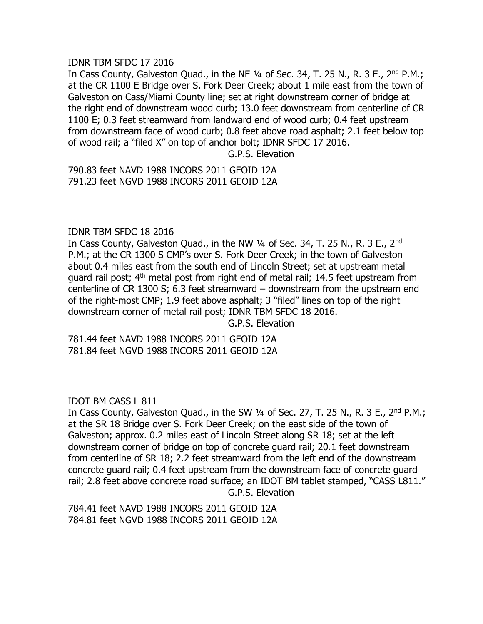#### IDNR TBM SFDC 17 2016

In Cass County, Galveston Quad., in the NE 1/4 of Sec. 34, T. 25 N., R. 3 E., 2<sup>nd</sup> P.M.; at the CR 1100 E Bridge over S. Fork Deer Creek; about 1 mile east from the town of Galveston on Cass/Miami County line; set at right downstream corner of bridge at the right end of downstream wood curb; 13.0 feet downstream from centerline of CR 1100 E; 0.3 feet streamward from landward end of wood curb; 0.4 feet upstream from downstream face of wood curb; 0.8 feet above road asphalt; 2.1 feet below top of wood rail; a "filed X" on top of anchor bolt; IDNR SFDC 17 2016.

G.P.S. Elevation

790.83 feet NAVD 1988 INCORS 2011 GEOID 12A 791.23 feet NGVD 1988 INCORS 2011 GEOID 12A

# IDNR TBM SFDC 18 2016

In Cass County, Galveston Quad., in the NW ¼ of Sec. 34, T. 25 N., R. 3 E., 2nd P.M.; at the CR 1300 S CMP's over S. Fork Deer Creek; in the town of Galveston about 0.4 miles east from the south end of Lincoln Street; set at upstream metal guard rail post; 4th metal post from right end of metal rail; 14.5 feet upstream from centerline of CR 1300 S; 6.3 feet streamward – downstream from the upstream end of the right-most CMP; 1.9 feet above asphalt; 3 "filed" lines on top of the right downstream corner of metal rail post; IDNR TBM SFDC 18 2016. G.P.S. Elevation

781.44 feet NAVD 1988 INCORS 2011 GEOID 12A 781.84 feet NGVD 1988 INCORS 2011 GEOID 12A

IDOT BM CASS L 811

In Cass County, Galveston Quad., in the SW  $\frac{1}{4}$  of Sec. 27, T. 25 N., R. 3 E., 2<sup>nd</sup> P.M.; at the SR 18 Bridge over S. Fork Deer Creek; on the east side of the town of Galveston; approx. 0.2 miles east of Lincoln Street along SR 18; set at the left downstream corner of bridge on top of concrete guard rail; 20.1 feet downstream from centerline of SR 18; 2.2 feet streamward from the left end of the downstream concrete guard rail; 0.4 feet upstream from the downstream face of concrete guard rail; 2.8 feet above concrete road surface; an IDOT BM tablet stamped, "CASS L811." G.P.S. Elevation

784.41 feet NAVD 1988 INCORS 2011 GEOID 12A 784.81 feet NGVD 1988 INCORS 2011 GEOID 12A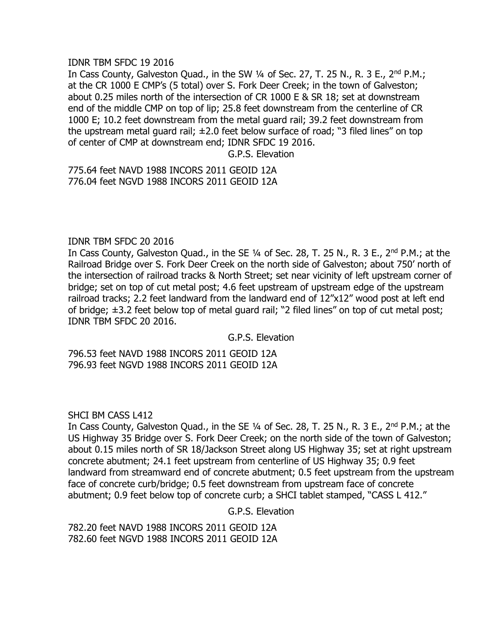#### IDNR TBM SFDC 19 2016

In Cass County, Galveston Quad., in the SW 1/4 of Sec. 27, T. 25 N., R. 3 E., 2<sup>nd</sup> P.M.; at the CR 1000 E CMP's (5 total) over S. Fork Deer Creek; in the town of Galveston; about 0.25 miles north of the intersection of CR 1000 E & SR 18; set at downstream end of the middle CMP on top of lip; 25.8 feet downstream from the centerline of CR 1000 E; 10.2 feet downstream from the metal guard rail; 39.2 feet downstream from the upstream metal guard rail;  $\pm 2.0$  feet below surface of road; "3 filed lines" on top of center of CMP at downstream end; IDNR SFDC 19 2016.

G.P.S. Elevation

775.64 feet NAVD 1988 INCORS 2011 GEOID 12A 776.04 feet NGVD 1988 INCORS 2011 GEOID 12A

# IDNR TBM SFDC 20 2016

In Cass County, Galveston Quad., in the SE 1/4 of Sec. 28, T. 25 N., R. 3 E., 2<sup>nd</sup> P.M.; at the Railroad Bridge over S. Fork Deer Creek on the north side of Galveston; about 750' north of the intersection of railroad tracks & North Street; set near vicinity of left upstream corner of bridge; set on top of cut metal post; 4.6 feet upstream of upstream edge of the upstream railroad tracks; 2.2 feet landward from the landward end of 12"x12" wood post at left end of bridge; ±3.2 feet below top of metal guard rail; "2 filed lines" on top of cut metal post; IDNR TBM SFDC 20 2016.

G.P.S. Elevation

796.53 feet NAVD 1988 INCORS 2011 GEOID 12A 796.93 feet NGVD 1988 INCORS 2011 GEOID 12A

SHCI BM CASS L412

In Cass County, Galveston Quad., in the SE 1/4 of Sec. 28, T. 25 N., R. 3 E., 2<sup>nd</sup> P.M.; at the US Highway 35 Bridge over S. Fork Deer Creek; on the north side of the town of Galveston; about 0.15 miles north of SR 18/Jackson Street along US Highway 35; set at right upstream concrete abutment; 24.1 feet upstream from centerline of US Highway 35; 0.9 feet landward from streamward end of concrete abutment; 0.5 feet upstream from the upstream face of concrete curb/bridge; 0.5 feet downstream from upstream face of concrete abutment; 0.9 feet below top of concrete curb; a SHCI tablet stamped, "CASS L 412."

G.P.S. Elevation

782.20 feet NAVD 1988 INCORS 2011 GEOID 12A 782.60 feet NGVD 1988 INCORS 2011 GEOID 12A